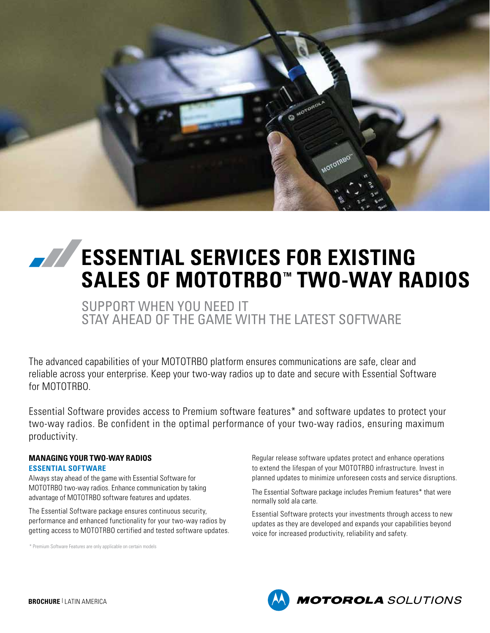

# **EXAMPLE SERVICES FOR EXISTING SALES OF MOTOTRBO™ TWO-WAY RADIOS**

SUPPORT WHEN YOU NEED IT STAY AHEAD OF THE GAME WITH THE LATEST SOFTWARE

The advanced capabilities of your MOTOTRBO platform ensures communications are safe, clear and reliable across your enterprise. Keep your two-way radios up to date and secure with Essential Software for MOTOTRBO.

Essential Software provides access to Premium software features\* and software updates to protect your two-way radios. Be confident in the optimal performance of your two-way radios, ensuring maximum productivity.

#### **MANAGING YOUR TWO-WAY RADIOS ESSENTIAL SOFTWARE**

Always stay ahead of the game with Essential Software for MOTOTRBO two-way radios. Enhance communication by taking advantage of MOTOTRBO software features and updates.

The Essential Software package ensures continuous security, performance and enhanced functionality for your two-way radios by getting access to MOTOTRBO certified and tested software updates.

\* Premium Software Features are only applicable on certain models

Regular release software updates protect and enhance operations to extend the lifespan of your MOTOTRBO infrastructure. Invest in planned updates to minimize unforeseen costs and service disruptions.

The Essential Software package includes Premium features\* that were normally sold ala carte.

Essential Software protects your investments through access to new updates as they are developed and expands your capabilities beyond voice for increased productivity, reliability and safety.